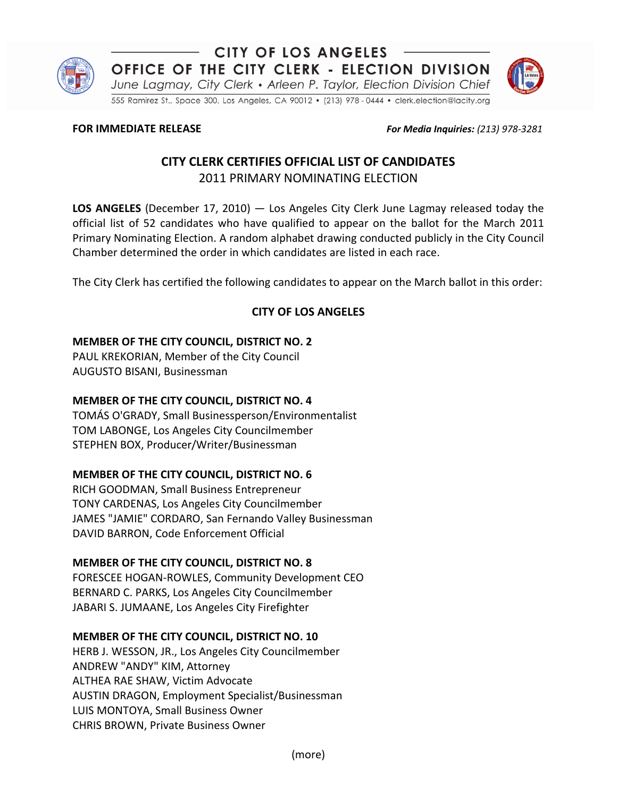

CITY OF LOS ANGELES OFFICE OF THE CITY CLERK - ELECTION DIVISION

June Lagmay, City Clerk • Arleen P. Taylor, Election Division Chief

555 Ramirez St., Space 300, Los Angeles, CA 90012 . (213) 978 - 0444 . clerk.election@lacity.org

**FOR IMMEDIATE RELEASE** *For Media Inquiries: (213) 978-3281* 

# **CITY CLERK CERTIFIES OFFICIAL LIST OF CANDIDATES** 2011 PRIMARY NOMINATING ELECTION

**LOS ANGELES** (December 17, 2010) — Los Angeles City Clerk June Lagmay released today the official list of 52 candidates who have qualified to appear on the ballot for the March 2011 Primary Nominating Election. A random alphabet drawing conducted publicly in the City Council Chamber determined the order in which candidates are listed in each race.

The City Clerk has certified the following candidates to appear on the March ballot in this order:

# **CITY OF LOS ANGELES**

#### **MEMBER OF THE CITY COUNCIL, DISTRICT NO. 2**

PAUL KREKORIAN, Member of the City Council AUGUSTO BISANI, Businessman

#### **MEMBER OF THE CITY COUNCIL, DISTRICT NO. 4**

TOMÁS O'GRADY, Small Businessperson/Environmentalist TOM LABONGE, Los Angeles City Councilmember STEPHEN BOX, Producer/Writer/Businessman

# **MEMBER OF THE CITY COUNCIL, DISTRICT NO. 6**

RICH GOODMAN, Small Business Entrepreneur TONY CARDENAS, Los Angeles City Councilmember JAMES "JAMIE" CORDARO, San Fernando Valley Businessman DAVID BARRON, Code Enforcement Official

# **MEMBER OF THE CITY COUNCIL, DISTRICT NO. 8**

FORESCEE HOGAN-ROWLES, Community Development CEO BERNARD C. PARKS, Los Angeles City Councilmember JABARI S. JUMAANE, Los Angeles City Firefighter

# **MEMBER OF THE CITY COUNCIL, DISTRICT NO. 10**

HERB J. WESSON, JR., Los Angeles City Councilmember ANDREW "ANDY" KIM, Attorney ALTHEA RAE SHAW, Victim Advocate AUSTIN DRAGON, Employment Specialist/Businessman LUIS MONTOYA, Small Business Owner CHRIS BROWN, Private Business Owner

(more)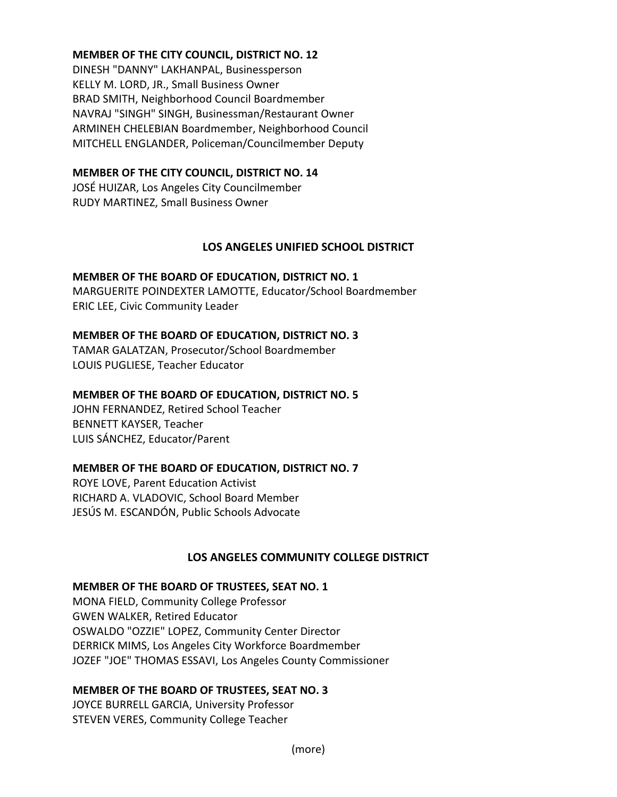#### **MEMBER OF THE CITY COUNCIL, DISTRICT NO. 12**

DINESH "DANNY" LAKHANPAL, Businessperson KELLY M. LORD, JR., Small Business Owner BRAD SMITH, Neighborhood Council Boardmember NAVRAJ "SINGH" SINGH, Businessman/Restaurant Owner ARMINEH CHELEBIAN Boardmember, Neighborhood Council MITCHELL ENGLANDER, Policeman/Councilmember Deputy

#### **MEMBER OF THE CITY COUNCIL, DISTRICT NO. 14**

JOSÉ HUIZAR, Los Angeles City Councilmember RUDY MARTINEZ, Small Business Owner

# **LOS ANGELES UNIFIED SCHOOL DISTRICT**

#### **MEMBER OF THE BOARD OF EDUCATION, DISTRICT NO. 1**

MARGUERITE POINDEXTER LAMOTTE, Educator/School Boardmember ERIC LEE, Civic Community Leader

#### **MEMBER OF THE BOARD OF EDUCATION, DISTRICT NO. 3**

TAMAR GALATZAN, Prosecutor/School Boardmember LOUIS PUGLIESE, Teacher Educator

#### **MEMBER OF THE BOARD OF EDUCATION, DISTRICT NO. 5**

JOHN FERNANDEZ, Retired School Teacher BENNETT KAYSER, Teacher LUIS SÁNCHEZ, Educator/Parent

# **MEMBER OF THE BOARD OF EDUCATION, DISTRICT NO. 7**

ROYE LOVE, Parent Education Activist RICHARD A. VLADOVIC, School Board Member JESÚS M. ESCANDÓN, Public Schools Advocate

# **LOS ANGELES COMMUNITY COLLEGE DISTRICT**

#### **MEMBER OF THE BOARD OF TRUSTEES, SEAT NO. 1**

MONA FIELD, Community College Professor GWEN WALKER, Retired Educator OSWALDO "OZZIE" LOPEZ, Community Center Director DERRICK MIMS, Los Angeles City Workforce Boardmember JOZEF "JOE" THOMAS ESSAVI, Los Angeles County Commissioner

# **MEMBER OF THE BOARD OF TRUSTEES, SEAT NO. 3**

JOYCE BURRELL GARCIA, University Professor STEVEN VERES, Community College Teacher

(more)